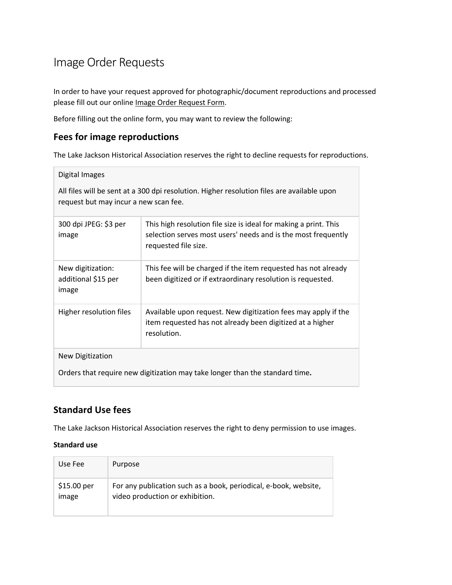# Image Order Requests

In order to have your request approved for photographic/document reproductions and processed please fill out our online Image Order Request Form.

Before filling out the online form, you may want to review the following:

### **Fees for image reproductions**

The Lake Jackson Historical Association reserves the right to decline requests for reproductions.

#### Digital Images

All files will be sent at a 300 dpi resolution. Higher resolution files are available upon request but may incur a new scan fee.

| 300 dpi JPEG: \$3 per<br>image                                               | This high resolution file size is ideal for making a print. This<br>selection serves most users' needs and is the most frequently<br>requested file size. |
|------------------------------------------------------------------------------|-----------------------------------------------------------------------------------------------------------------------------------------------------------|
| New digitization:<br>additional \$15 per<br>image                            | This fee will be charged if the item requested has not already<br>been digitized or if extraordinary resolution is requested.                             |
| Higher resolution files                                                      | Available upon request. New digitization fees may apply if the<br>item requested has not already been digitized at a higher<br>resolution.                |
| New Digitization                                                             |                                                                                                                                                           |
| Orders that require new digitization may take longer than the standard time. |                                                                                                                                                           |

### **Standard Use fees**

The Lake Jackson Historical Association reserves the right to deny permission to use images.

#### **Standard use**

| Use Fee     | Purpose                                                          |
|-------------|------------------------------------------------------------------|
| \$15.00 per | For any publication such as a book, periodical, e-book, website, |
| image       | video production or exhibition.                                  |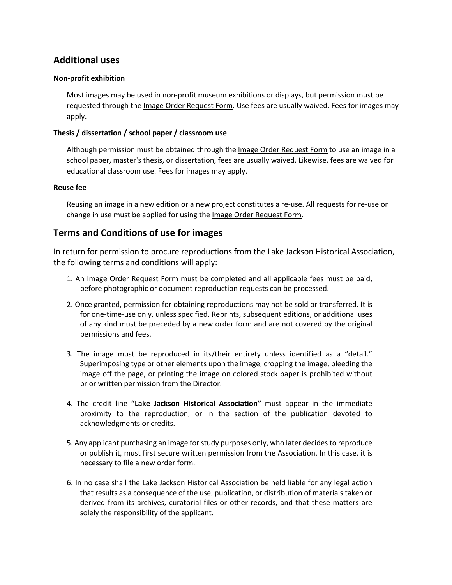### **Additional uses**

#### **Non-profit exhibition**

Most images may be used in non-profit museum exhibitions or displays, but permission must be requested through the Image Order Request Form. Use fees are usually waived. Fees for images may apply.

#### **Thesis / dissertation / school paper / classroom use**

Although permission must be obtained through the Image Order Request Form to use an image in a school paper, master's thesis, or dissertation, fees are usually waived. Likewise, fees are waived for educational classroom use. Fees for images may apply.

#### **Reuse fee**

Reusing an image in a new edition or a new project constitutes a re-use. All requests for re-use or change in use must be applied for using the Image Order Request Form.

### **Terms and Conditions of use for images**

In return for permission to procure reproductions from the Lake Jackson Historical Association, the following terms and conditions will apply:

- 1. An Image Order Request Form must be completed and all applicable fees must be paid, before photographic or document reproduction requests can be processed.
- 2. Once granted, permission for obtaining reproductions may not be sold or transferred. It is for one-time-use only, unless specified. Reprints, subsequent editions, or additional uses of any kind must be preceded by a new order form and are not covered by the original permissions and fees.
- 3. The image must be reproduced in its/their entirety unless identified as a "detail." Superimposing type or other elements upon the image, cropping the image, bleeding the image off the page, or printing the image on colored stock paper is prohibited without prior written permission from the Director.
- 4. The credit line **"Lake Jackson Historical Association"** must appear in the immediate proximity to the reproduction, or in the section of the publication devoted to acknowledgments or credits.
- 5. Any applicant purchasing an image for study purposes only, who later decides to reproduce or publish it, must first secure written permission from the Association. In this case, it is necessary to file a new order form.
- 6. In no case shall the Lake Jackson Historical Association be held liable for any legal action that results as a consequence of the use, publication, or distribution of materials taken or derived from its archives, curatorial files or other records, and that these matters are solely the responsibility of the applicant.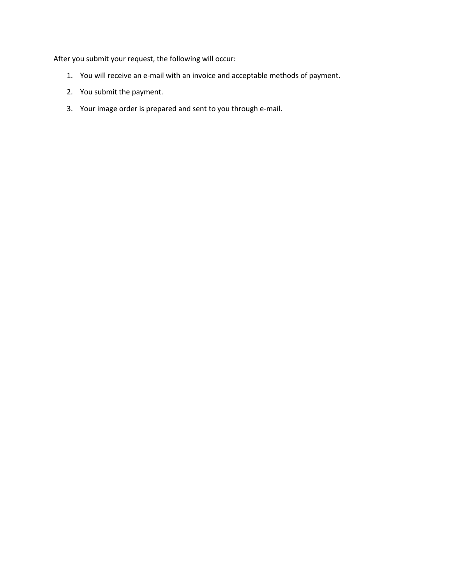After you submit your request, the following will occur:

- 1. You will receive an e-mail with an invoice and acceptable methods of payment.
- 2. You submit the payment.
- 3. Your image order is prepared and sent to you through e-mail.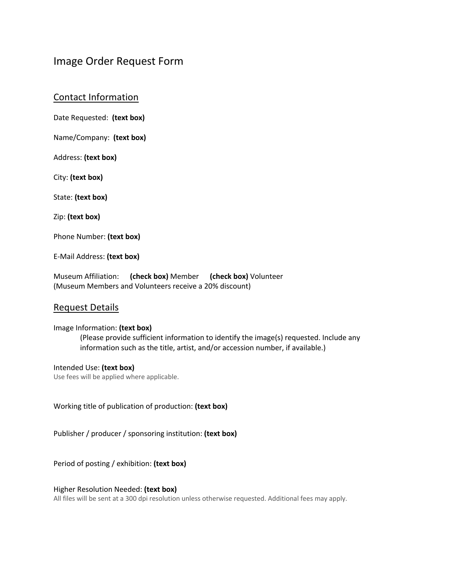## Image Order Request Form

Contact Information

Date Requested: **(text box)**

Name/Company: **(text box)**

Address: **(text box)**

City: **(text box)**

State: **(text box)**

Zip: **(text box)**

Phone Number: **(text box)**

E-Mail Address: **(text box)**

Museum Affiliation: **(check box)** Member **(check box)** Volunteer (Museum Members and Volunteers receive a 20% discount)

#### Request Details

#### Image Information: **(text box)**

(Please provide sufficient information to identify the image(s) requested. Include any information such as the title, artist, and/or accession number, if available.)

Intended Use: **(text box)** Use fees will be applied where applicable.

Working title of publication of production: **(text box)**

Publisher / producer / sponsoring institution: **(text box)**

Period of posting / exhibition: **(text box)**

#### Higher Resolution Needed: **(text box)**

All files will be sent at a 300 dpi resolution unless otherwise requested. Additional fees may apply.